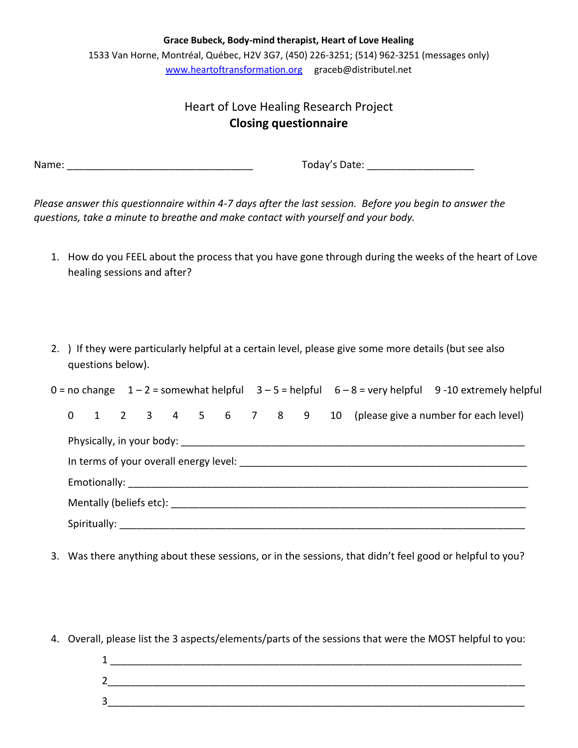**Grace Bubeck, Body-mind therapist, Heart of Love Healing**  1533 Van Horne, Montréal, Québec, H2V 3G7, (450) 226-3251; (514) 962-3251 (messages only) [www.heartoftransformation.org](http://www.heartoftransformation.org/) graceb@distributel.net

## Heart of Love Healing Research Project **Closing questionnaire**

Name: \_\_\_\_\_\_\_\_\_\_\_\_\_\_\_\_\_\_\_\_\_\_\_\_\_\_\_\_\_\_\_\_\_ Today's Date: \_\_\_\_\_\_\_\_\_\_\_\_\_\_\_\_\_\_\_

*Please answer this questionnaire within 4-7 days after the last session. Before you begin to answer the questions, take a minute to breathe and make contact with yourself and your body.*

- 1. How do you FEEL about the process that you have gone through during the weeks of the heart of Love healing sessions and after?
- 2. ) If they were particularly helpful at a certain level, please give some more details (but see also questions below).

| $0 =$ no change $1 - 2 =$ somewhat helpful $3 - 5 =$ helpful $6 - 8 =$ very helpful 9-10 extremely helpful |  |  |  |  |  |  |  |  |  |  |                                                            |  |  |  |
|------------------------------------------------------------------------------------------------------------|--|--|--|--|--|--|--|--|--|--|------------------------------------------------------------|--|--|--|
| $\Omega$                                                                                                   |  |  |  |  |  |  |  |  |  |  | 1 2 3 4 5 6 7 8 9 10 (please give a number for each level) |  |  |  |
|                                                                                                            |  |  |  |  |  |  |  |  |  |  |                                                            |  |  |  |
|                                                                                                            |  |  |  |  |  |  |  |  |  |  |                                                            |  |  |  |
|                                                                                                            |  |  |  |  |  |  |  |  |  |  |                                                            |  |  |  |
|                                                                                                            |  |  |  |  |  |  |  |  |  |  |                                                            |  |  |  |
|                                                                                                            |  |  |  |  |  |  |  |  |  |  |                                                            |  |  |  |

- 3. Was there anything about these sessions, or in the sessions, that didn't feel good or helpful to you?
- 4. Overall, please list the 3 aspects/elements/parts of the sessions that were the MOST helpful to you:
	- $1$ 2\_\_\_\_\_\_\_\_\_\_\_\_\_\_\_\_\_\_\_\_\_\_\_\_\_\_\_\_\_\_\_\_\_\_\_\_\_\_\_\_\_\_\_\_\_\_\_\_\_\_\_\_\_\_\_\_\_\_\_\_\_\_\_\_\_\_\_\_\_\_\_\_\_\_ 3\_\_\_\_\_\_\_\_\_\_\_\_\_\_\_\_\_\_\_\_\_\_\_\_\_\_\_\_\_\_\_\_\_\_\_\_\_\_\_\_\_\_\_\_\_\_\_\_\_\_\_\_\_\_\_\_\_\_\_\_\_\_\_\_\_\_\_\_\_\_\_\_\_\_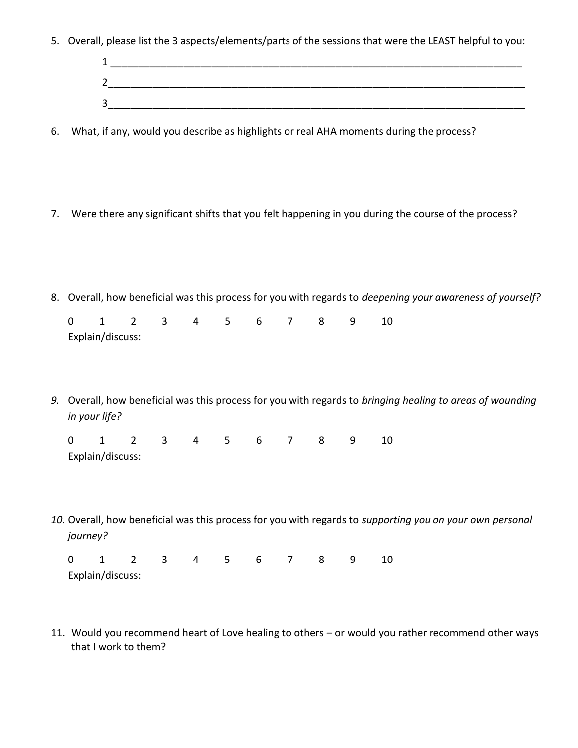5. Overall, please list the 3 aspects/elements/parts of the sessions that were the LEAST helpful to you:

| ∽                             |  |  |
|-------------------------------|--|--|
| ⌒<br>$\overline{\phantom{a}}$ |  |  |

- 6. What, if any, would you describe as highlights or real AHA moments during the process?
- 7. Were there any significant shifts that you felt happening in you during the course of the process?
- 8. Overall, how beneficial was this process for you with regards to *deepening your awareness of yourself?* 0 1 2 3 4 5 6 7 8 9 10
- *9.* Overall, how beneficial was this process for you with regards to *bringing healing to areas of wounding in your life?*

| 0 1 2 3 4 5 6 7 8 9 10 |  |  |  |  |  |
|------------------------|--|--|--|--|--|
| Explain/discuss:       |  |  |  |  |  |

Explain/discuss:

*10.* Overall, how beneficial was this process for you with regards to *supporting you on your own personal journey?*

|                  |  |  | 0 1 2 3 4 5 6 7 8 9 10 |  |  |
|------------------|--|--|------------------------|--|--|
| Explain/discuss: |  |  |                        |  |  |

11. Would you recommend heart of Love healing to others – or would you rather recommend other ways that I work to them?